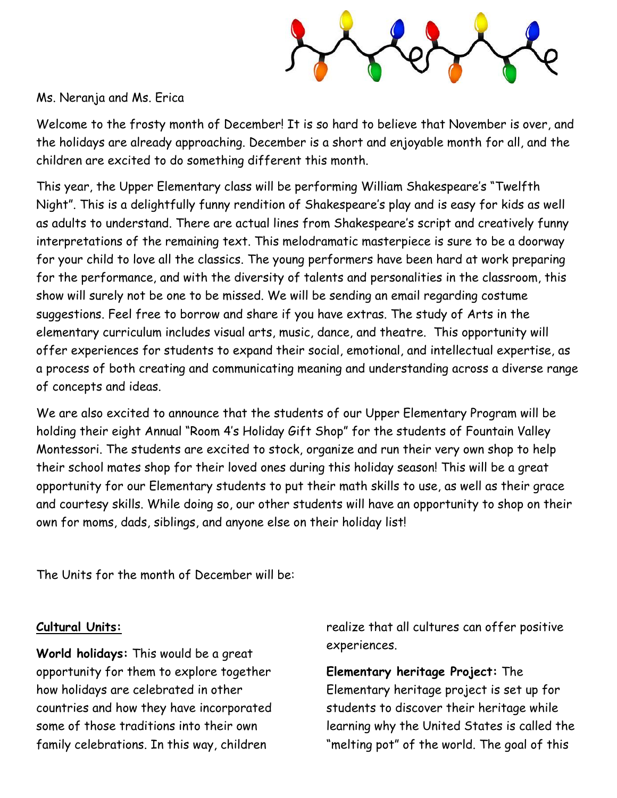

## Ms. Neranja and Ms. Erica

Welcome to the frosty month of December! It is so hard to believe that November is over, and the holidays are already approaching. December is a short and enjoyable month for all, and the children are excited to do something different this month.

This year, the Upper Elementary class will be performing William Shakespeare's "Twelfth Night". This is a delightfully funny rendition of Shakespeare's play and is easy for kids as well as adults to understand. There are actual lines from Shakespeare's script and creatively funny interpretations of the remaining text. This melodramatic masterpiece is sure to be a doorway for your child to love all the classics. The young performers have been hard at work preparing for the performance, and with the diversity of talents and personalities in the classroom, this show will surely not be one to be missed. We will be sending an email regarding costume suggestions. Feel free to borrow and share if you have extras. The study of Arts in the elementary curriculum includes visual arts, music, dance, and theatre. This opportunity will offer experiences for students to expand their social, emotional, and intellectual expertise, as a process of both creating and communicating meaning and understanding across a diverse range of concepts and ideas.

We are also excited to announce that the students of our Upper Elementary Program will be holding their eight Annual "Room 4's Holiday Gift Shop" for the students of Fountain Valley Montessori. The students are excited to stock, organize and run their very own shop to help their school mates shop for their loved ones during this holiday season! This will be a great opportunity for our Elementary students to put their math skills to use, as well as their grace and courtesy skills. While doing so, our other students will have an opportunity to shop on their own for moms, dads, siblings, and anyone else on their holiday list!

The Units for the month of December will be:

## **Cultural Units:**

**World holidays:** This would be a great opportunity for them to explore together how holidays are celebrated in other countries and how they have incorporated some of those traditions into their own family celebrations. In this way, children

realize that all cultures can offer positive experiences.

**Elementary heritage Project:** The Elementary heritage project is set up for students to discover their heritage while learning why the United States is called the "melting pot" of the world. The goal of this